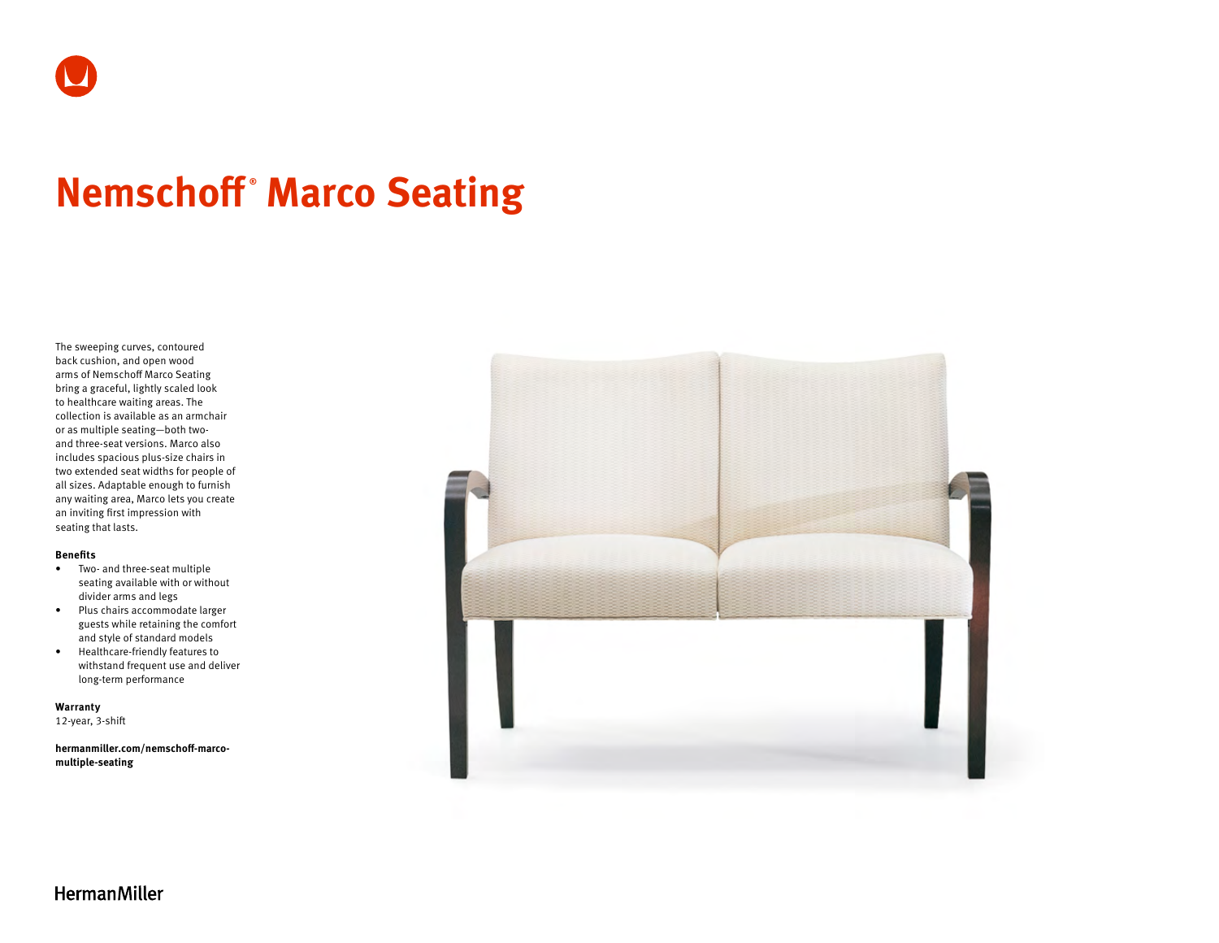# **Nemschoff ® Marco Seating**

The sweeping curves, contoured back cushion, and open wood arms of Nemschoff Marco Seating bring a graceful, lightly scaled look to healthcare waiting areas. The collection is available as an armchair or as multiple seating—both twoand three-seat versions. Marco also includes spacious plus-size chairs in two extended seat widths for people of all sizes. Adaptable enough to furnish any waiting area, Marco lets you create an inviting first impression with seating that lasts.

### **Benefits**

- Two- and three-seat multiple seating available with or without divider arms and legs
- Plus chairs accommodate larger guests while retaining the comfort and style of standard models
- Healthcare-friendly features to withstand frequent use and deliver long-term performance

**Warranty**  12-year, 3-shift

**[hermanmiller.com/nemschoff-marco](http://hermanmiller.com/nemschoff-marco-multiple-seating)[multiple-seating](http://hermanmiller.com/nemschoff-marco-multiple-seating)**